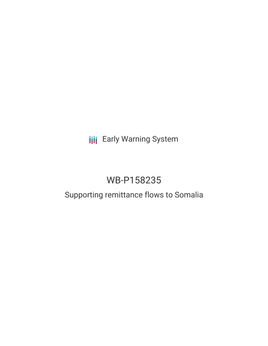## **III** Early Warning System

# WB-P158235

### Supporting remittance flows to Somalia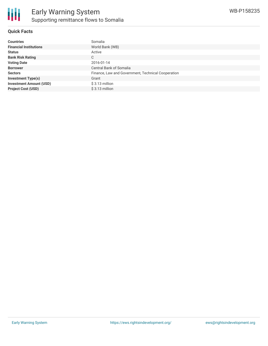

#### **Quick Facts**

| <b>Countries</b>               | Somalia                                            |
|--------------------------------|----------------------------------------------------|
| <b>Financial Institutions</b>  | World Bank (WB)                                    |
| <b>Status</b>                  | Active                                             |
| <b>Bank Risk Rating</b>        | C                                                  |
| <b>Voting Date</b>             | 2016-01-14                                         |
| <b>Borrower</b>                | Central Bank of Somalia                            |
| <b>Sectors</b>                 | Finance, Law and Government, Technical Cooperation |
| <b>Investment Type(s)</b>      | Grant                                              |
| <b>Investment Amount (USD)</b> | \$3.13 million                                     |
| <b>Project Cost (USD)</b>      | $$3.13$ million                                    |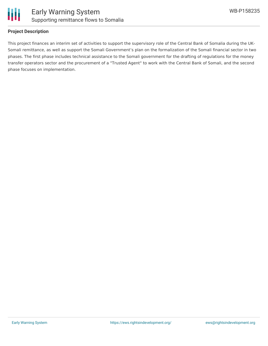



#### **Project Description**

This project finances an interim set of activities to support the supervisory role of the Central Bank of Somalia during the UK-Somali remittance, as well as support the Somali Government's plan on the formalization of the Somali financial sector in two phases. The first phase includes technical assistance to the Somali government for the drafting of regulations for the money transfer operators sector and the procurement of a "Trusted Agent" to work with the Central Bank of Somali, and the second phase focuses on implementation.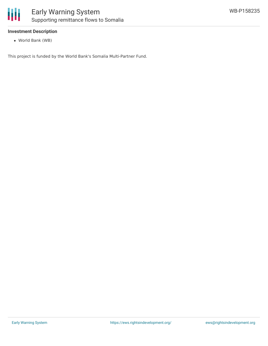

#### **Investment Description**

World Bank (WB)

This project is funded by the World Bank's Somalia Multi-Partner Fund.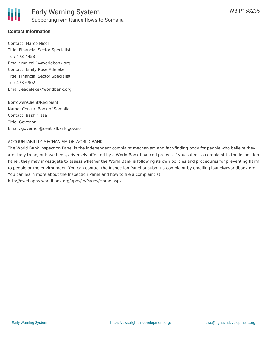

#### **Contact Information**

Contact: Marco Nicoli Title: Financial Sector Specialist Tel: 473-4453 Email: mnicoli1@worldbank.org Contact: Emily Rose Adeleke Title: Financial Sector Specialist Tel: 473-6902 Email: eadeleke@worldbank.org

Borrower/Client/Recipient Name: Central Bank of Somalia Contact: Bashir Issa Title: Govenor Email: governor@centralbank.gov.so

#### ACCOUNTABILITY MECHANISM OF WORLD BANK

The World Bank Inspection Panel is the independent complaint mechanism and fact-finding body for people who believe they are likely to be, or have been, adversely affected by a World Bank-financed project. If you submit a complaint to the Inspection Panel, they may investigate to assess whether the World Bank is following its own policies and procedures for preventing harm to people or the environment. You can contact the Inspection Panel or submit a complaint by emailing ipanel@worldbank.org. You can learn more about the Inspection Panel and how to file a complaint at: http://ewebapps.worldbank.org/apps/ip/Pages/Home.aspx.